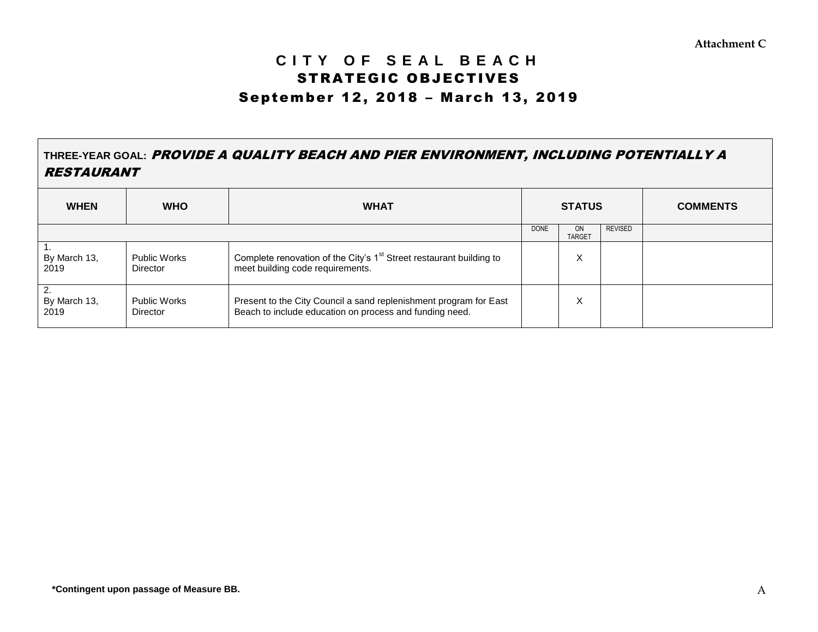# **C I T Y O F S E A L B E A C H** STRATEGIC OBJECTIVES September 12, 2018 – March 13, 2019

# **THREE-YEAR GOAL:** PROVIDE A QUALITY BEACH AND PIER ENVIRONMENT, INCLUDING POTENTIALLY A RESTAURANT

| <b>WHEN</b>                              | <b>WHO</b>                             | <b>WHAT</b>                                                                                                                  | <b>STATUS</b> |                            |                | <b>COMMENTS</b> |
|------------------------------------------|----------------------------------------|------------------------------------------------------------------------------------------------------------------------------|---------------|----------------------------|----------------|-----------------|
|                                          |                                        |                                                                                                                              | <b>DONE</b>   | <b>ON</b><br><b>TARGET</b> | <b>REVISED</b> |                 |
| By March 13,<br>2019                     | <b>Public Works</b><br><b>Director</b> | Complete renovation of the City's 1 <sup>st</sup> Street restaurant building to<br>meet building code requirements.          |               | ⋏                          |                |                 |
| $\overline{2}$ .<br>By March 13,<br>2019 | <b>Public Works</b><br><b>Director</b> | Present to the City Council a sand replenishment program for East<br>Beach to include education on process and funding need. |               |                            |                |                 |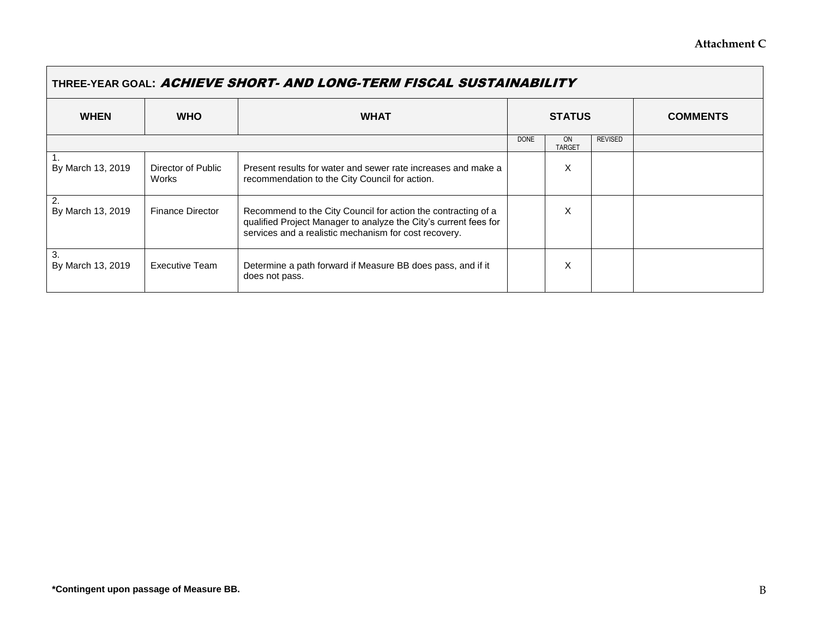۰

| THREE-YEAR GOAL: ACHIEVE SHORT- AND LONG-TERM FISCAL SUSTAINABILITY |                             |                                                                                                                                                                                            |               |                     |                |                 |  |
|---------------------------------------------------------------------|-----------------------------|--------------------------------------------------------------------------------------------------------------------------------------------------------------------------------------------|---------------|---------------------|----------------|-----------------|--|
| <b>WHEN</b>                                                         | <b>WHO</b>                  | <b>WHAT</b>                                                                                                                                                                                | <b>STATUS</b> |                     |                | <b>COMMENTS</b> |  |
|                                                                     |                             |                                                                                                                                                                                            | <b>DONE</b>   | ON<br><b>TARGET</b> | <b>REVISED</b> |                 |  |
| By March 13, 2019                                                   | Director of Public<br>Works | Present results for water and sewer rate increases and make a<br>recommendation to the City Council for action.                                                                            |               | X                   |                |                 |  |
| 2.<br>By March 13, 2019                                             | <b>Finance Director</b>     | Recommend to the City Council for action the contracting of a<br>qualified Project Manager to analyze the City's current fees for<br>services and a realistic mechanism for cost recovery. |               | X                   |                |                 |  |
| 3.<br>By March 13, 2019                                             | <b>Executive Team</b>       | Determine a path forward if Measure BB does pass, and if it<br>does not pass.                                                                                                              |               | X                   |                |                 |  |

 $\blacksquare$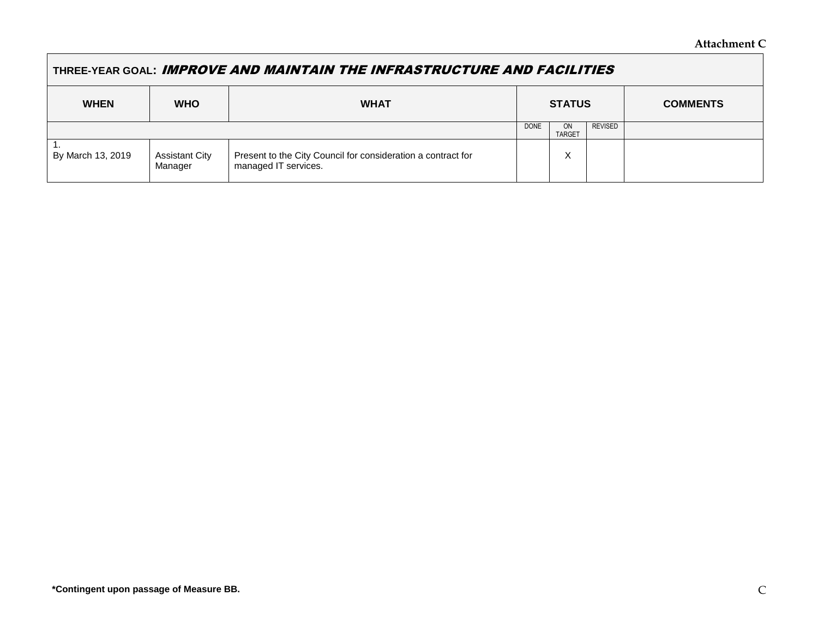## **THREE-YEAR GOAL:** IMPROVE AND MAINTAIN THE INFRASTRUCTURE AND FACILITIES

| <b>WHEN</b>       | <b>WHO</b>                       | <b>WHAT</b>                                                                          | <b>STATUS</b> |                     |                | <b>COMMENTS</b> |
|-------------------|----------------------------------|--------------------------------------------------------------------------------------|---------------|---------------------|----------------|-----------------|
|                   |                                  |                                                                                      | <b>DONE</b>   | ON<br><b>TARGET</b> | <b>REVISED</b> |                 |
| By March 13, 2019 | <b>Assistant City</b><br>Manager | Present to the City Council for consideration a contract for<br>managed IT services. |               | X                   |                |                 |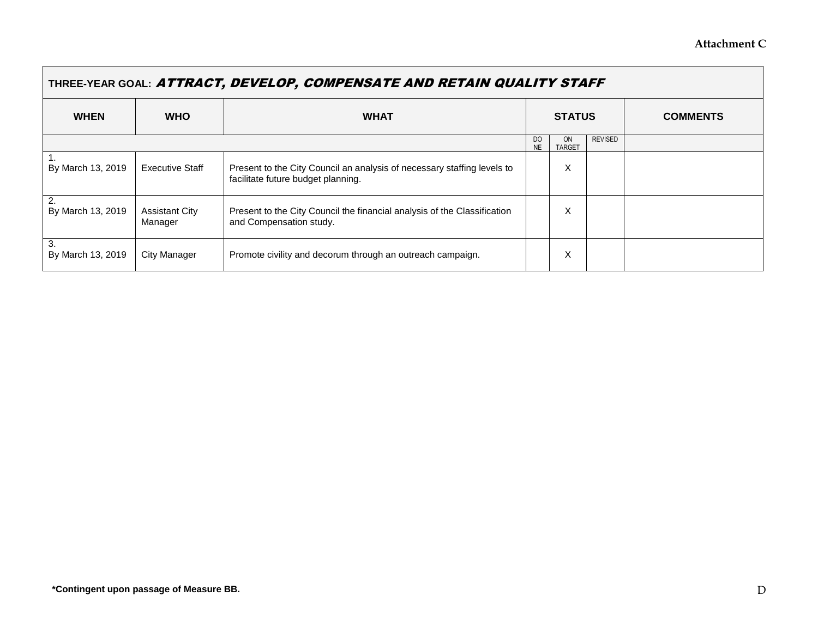$\overline{\phantom{0}}$ 

| THREE-YEAR GOAL: ATTRACT, DEVELOP, COMPENSATE AND RETAIN QUALITY STAFF |                                  |                                                                                                               |                             |                     |                |                 |  |
|------------------------------------------------------------------------|----------------------------------|---------------------------------------------------------------------------------------------------------------|-----------------------------|---------------------|----------------|-----------------|--|
| <b>WHEN</b>                                                            | <b>WHO</b>                       | <b>WHAT</b>                                                                                                   | <b>STATUS</b>               |                     |                | <b>COMMENTS</b> |  |
|                                                                        |                                  |                                                                                                               | D <sub>O</sub><br><b>NE</b> | ON<br><b>TARGET</b> | <b>REVISED</b> |                 |  |
| By March 13, 2019                                                      | <b>Executive Staff</b>           | Present to the City Council an analysis of necessary staffing levels to<br>facilitate future budget planning. |                             | X                   |                |                 |  |
| 2.<br>By March 13, 2019                                                | <b>Assistant City</b><br>Manager | Present to the City Council the financial analysis of the Classification<br>and Compensation study.           |                             | X                   |                |                 |  |
| 3.<br>By March 13, 2019                                                | City Manager                     | Promote civility and decorum through an outreach campaign.                                                    |                             | X                   |                |                 |  |